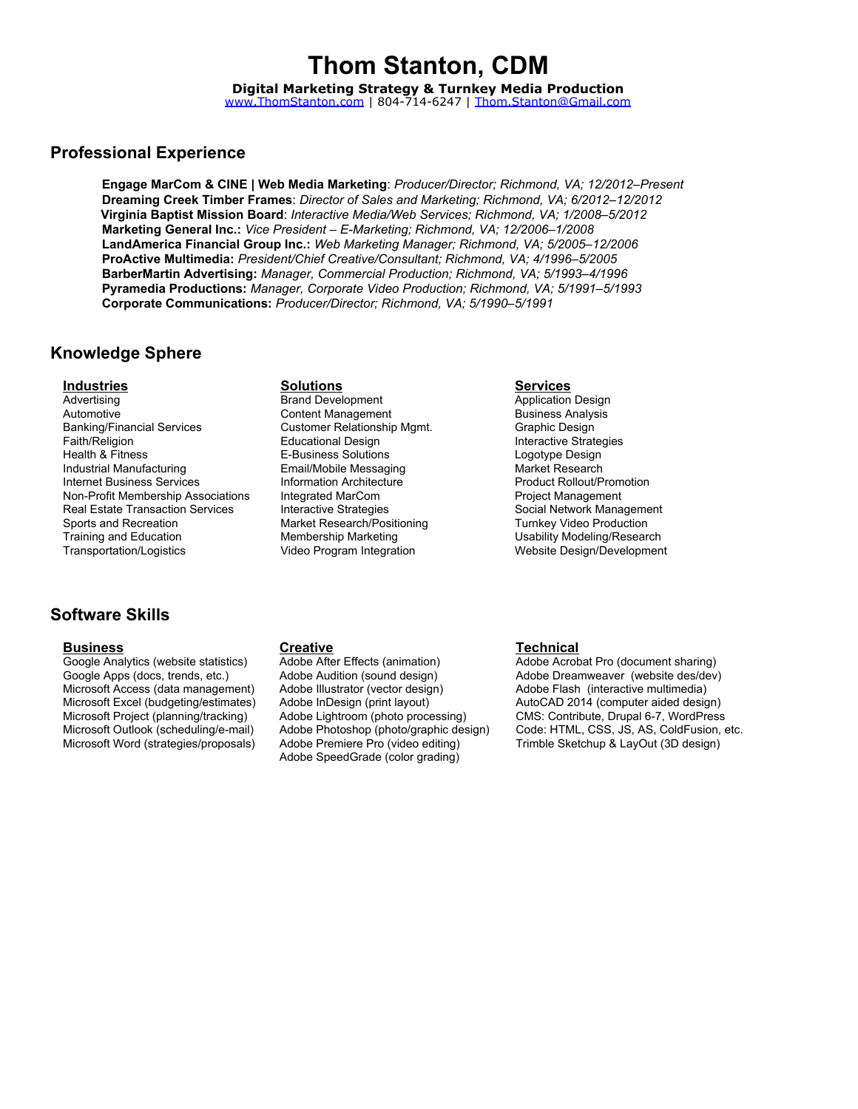# Thom Stanton, CDM

Digital Marketing Strategy & Turnkey Media Production

### [www.ThomStanton.com](http://www.google.com/url?q=http%3A%2F%2Fwww.thomstanton.com&sa=D&sntz=1&usg=AFQjCNGbQ-bpJdSq2d3s6XqGIRrJ22fmbA) | 804-714-6247 | [Thom.Stanton@Gmail.com](mailto:Thom.Stanton@Gmail.com)

### Professional Experience

Engage MarCom & CINE | Web Media Marketing: *Producer/Director; Richmond, VA; 12/2012–Present* Dreaming Creek Timber Frames: *Director of Sales and Marketing; Richmond, VA; 6/2012–12/2012* Virginia Baptist Mission Board: *Interactive Media/Web Services; Richmond, VA; 1/2008–5/2012* Marketing General Inc.: *Vice President – E-Marketing; Richmond, VA; 12/2006–1/2008* LandAmerica Financial Group Inc.: *Web Marketing Manager; Richmond, VA; 5/2005–12/2006* ProActive Multimedia: *President/Chief Creative/Consultant; Richmond, VA; 4/1996–5/2005* BarberMartin Advertising: *Manager, Commercial Production; Richmond, VA; 5/1993–4/1996* Pyramedia Productions: *Manager, Corporate Video Production; Richmond, VA; 5/1991–5/1993* Corporate Communications: *Producer/Director; Richmond, VA; 5/1990–5/1991*

### Knowledge Sphere

### **Industries Solutions Solutions Services** Services

Advertising Automotive Banking/Financial Services Faith/Religion Health & Fitness Industrial Manufacturing Internet Business Services Non-Profit Membership Associations Real Estate Transaction Services Sports and Recreation Training and Education Transportation/Logistics

# Software Skills

Google Analytics (website statistics) Google Apps (docs, trends, etc.) Microsoft Access (data management) Microsoft Excel (budgeting/estimates) Microsoft Project (planning/tracking) Microsoft Outlook (scheduling/e-mail) Microsoft Word (strategies/proposals)

Brand Development Content Management Customer Relationship Mgmt. Educational Design E-Business Solutions Email/Mobile Messaging Information Architecture Integrated MarCom Interactive Strategies Market Research/Positioning Membership Marketing Video Program Integration

Application Design Business Analysis Graphic Design Interactive Strategies Logotype Design Market Research Product Rollout/Promotion Project Management Social Network Management Turnkey Video Production Usability Modeling/Research Website Design/Development

Adobe After Effects (animation) Adobe Audition (sound design) Adobe Illustrator (vector design) Adobe InDesign (print layout) Adobe Lightroom (photo processing) Adobe Photoshop (photo/graphic design) Adobe Premiere Pro (video editing) Adobe SpeedGrade (color grading)

### Business Creative Technical

Adobe Acrobat Pro (document sharing) Adobe Dreamweaver (website des/dev) Adobe Flash (interactive multimedia) AutoCAD 2014 (computer aided design) CMS: Contribute, Drupal 6-7, WordPress Code: HTML, CSS, JS, AS, ColdFusion, etc. Trimble Sketchup & LayOut (3D design)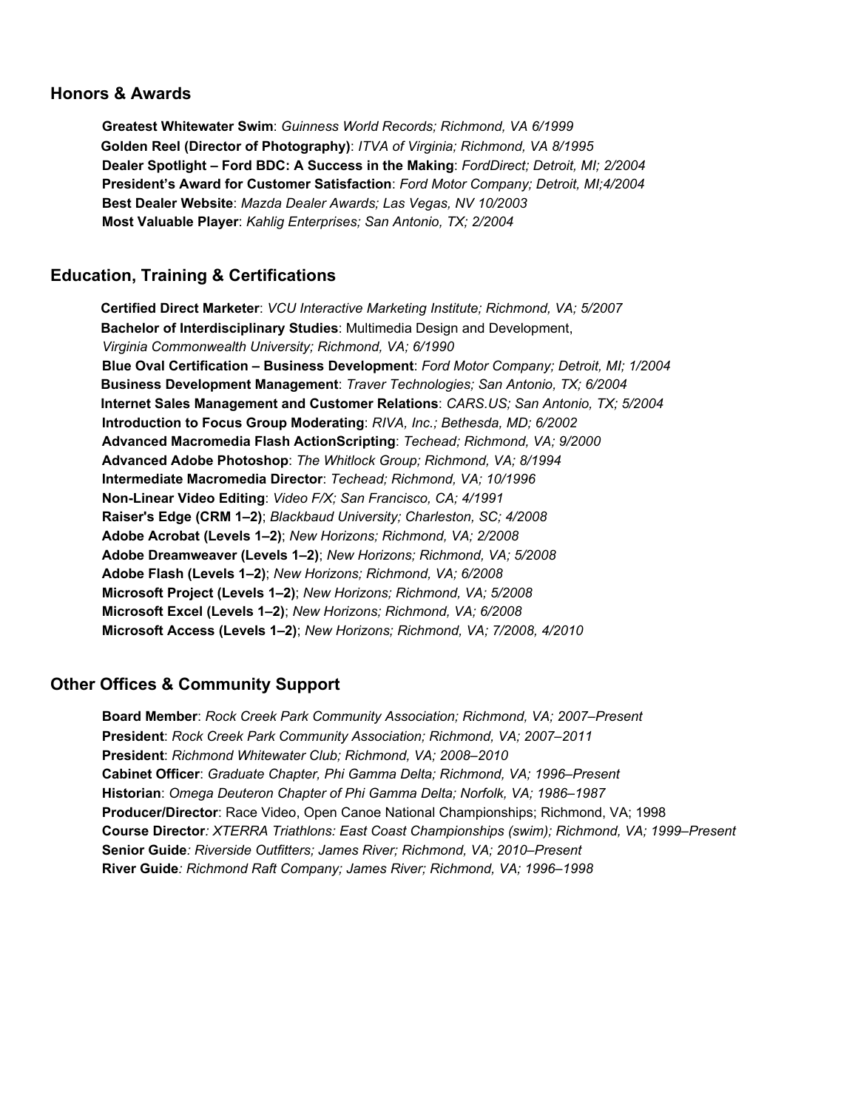### Honors & Awards

Greatest Whitewater Swim: *Guinness World Records; Richmond, VA 6/1999* Golden Reel (Director of Photography): *ITVA of Virginia; Richmond, VA 8/1995* Dealer Spotlight – Ford BDC: A Success in the Making: *FordDirect; Detroit, MI; 2/2004* President's Award for Customer Satisfaction: *Ford Motor Company; Detroit, MI;4/2004* Best Dealer Website: *Mazda Dealer Awards; Las Vegas, NV 10/2003* Most Valuable Player: *Kahlig Enterprises; San Antonio, TX; 2/2004*

# Education, Training & Certifications

Certified Direct Marketer: *VCU Interactive Marketing Institute; Richmond, VA; 5/2007* Bachelor of Interdisciplinary Studies: Multimedia Design and Development, *Virginia Commonwealth University; Richmond, VA; 6/1990* Blue Oval Certification – Business Development: *Ford Motor Company; Detroit, MI; 1/2004* Business Development Management: *Traver Technologies; San Antonio, TX; 6/2004* Internet Sales Management and Customer Relations: *CARS.US; San Antonio, TX; 5/2004* Introduction to Focus Group Moderating: *RIVA, Inc.; Bethesda, MD; 6/2002* Advanced Macromedia Flash ActionScripting: *Techead; Richmond, VA; 9/2000* Advanced Adobe Photoshop: *The Whitlock Group; Richmond, VA; 8/1994* Intermediate Macromedia Director: *Techead; Richmond, VA; 10/1996* Non-Linear Video Editing: *Video F/X; San Francisco, CA; 4/1991* Raiser's Edge (CRM 1*–*2); *Blackbaud University; Charleston, SC; 4/2008* Adobe Acrobat (Levels 1*–*2); *New Horizons; Richmond, VA; 2/2008* Adobe Dreamweaver (Levels 1*–*2); *New Horizons; Richmond, VA; 5/2008* Adobe Flash (Levels 1*–*2); *New Horizons; Richmond, VA; 6/2008* Microsoft Project (Levels 1*–*2); *New Horizons; Richmond, VA; 5/2008* Microsoft Excel (Levels 1*–*2); *New Horizons; Richmond, VA; 6/2008* Microsoft Access (Levels 1*–*2); *New Horizons; Richmond, VA; 7/2008, 4/2010*

# Other Offices & Community Support

Board Member: *Rock Creek Park Community Association; Richmond, VA; 2007–Present* President: *Rock Creek Park Community Association; Richmond, VA; 2007–2011* President: *Richmond Whitewater Club; Richmond, VA; 2008–2010* Cabinet Officer: *Graduate Chapter, Phi Gamma Delta; Richmond, VA; 1996–Present* Historian: *Omega Deuteron Chapter of Phi Gamma Delta; Norfolk, VA; 1986–1987* Producer/Director: Race Video, Open Canoe National Championships; Richmond, VA; 1998 Course Director*: XTERRA Triathlons: East Coast Championships (swim); Richmond, VA; 1999–Present* Senior Guide*: Riverside Outfitters; James River; Richmond, VA; 2010–Present* River Guide*: Richmond Raft Company; James River; Richmond, VA; 1996–1998*